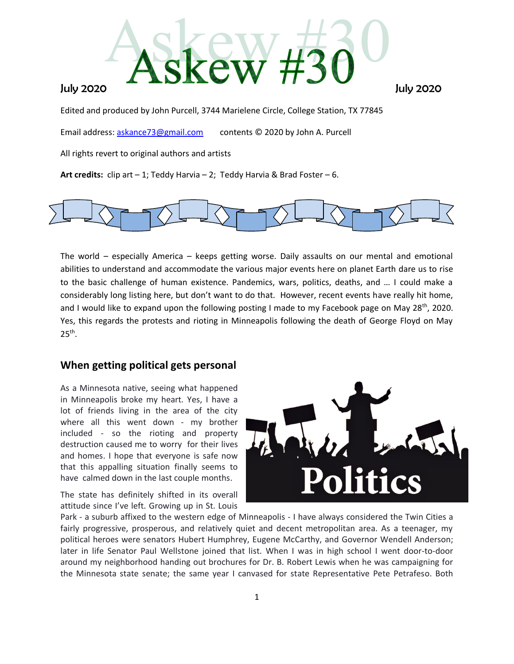

Edited and produced by John Purcell, 3744 Marielene Circle, College Station, TX 77845

Email address: [askance73@gmail.com](mailto:askance73@gmail.com) contents © 2020 by John A. Purcell

All rights revert to original authors and artists

**Art credits:** clip art – 1; Teddy Harvia – 2; Teddy Harvia & Brad Foster – 6.



The world – especially America – keeps getting worse. Daily assaults on our mental and emotional abilities to understand and accommodate the various major events here on planet Earth dare us to rise to the basic challenge of human existence. Pandemics, wars, politics, deaths, and … I could make a considerably long listing here, but don't want to do that. However, recent events have really hit home, and I would like to expand upon the following posting I made to my Facebook page on May 28<sup>th</sup>, 2020. Yes, this regards the protests and rioting in Minneapolis following the death of George Floyd on May  $25<sup>th</sup>$ .

# **When getting political gets personal**

As a Minnesota native, seeing what happened in Minneapolis broke my heart. Yes, I have a lot of friends living in the area of the city where all this went down - my brother included - so the rioting and property destruction caused me to worry for their lives and homes. I hope that everyone is safe now that this appalling situation finally seems to have calmed down in the last couple months.

The state has definitely shifted in its overall attitude since I've left. Growing up in St. Louis



Park - a suburb affixed to the western edge of Minneapolis - I have always considered the Twin Cities a fairly progressive, prosperous, and relatively quiet and decent metropolitan area. As a teenager, my political heroes were senators Hubert Humphrey, Eugene McCarthy, and Governor Wendell Anderson; later in life Senator Paul Wellstone joined that list. When I was in high school I went door-to-door around my neighborhood handing out brochures for Dr. B. Robert Lewis when he was campaigning for the Minnesota state senate; the same year I canvased for state Representative Pete Petrafeso. Both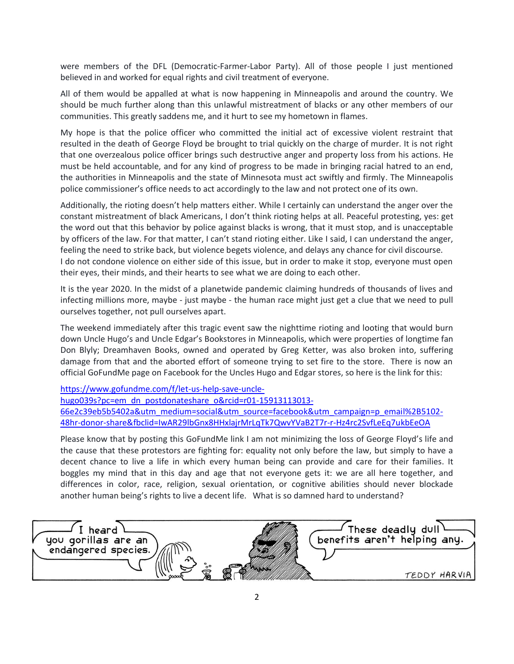were members of the DFL (Democratic-Farmer-Labor Party). All of those people I just mentioned believed in and worked for equal rights and civil treatment of everyone.

All of them would be appalled at what is now happening in Minneapolis and around the country. We should be much further along than this unlawful mistreatment of blacks or any other members of our communities. This greatly saddens me, and it hurt to see my hometown in flames.

My hope is that the police officer who committed the initial act of excessive violent restraint that resulted in the death of George Floyd be brought to trial quickly on the charge of murder. It is not right that one overzealous police officer brings such destructive anger and property loss from his actions. He must be held accountable, and for any kind of progress to be made in bringing racial hatred to an end, the authorities in Minneapolis and the state of Minnesota must act swiftly and firmly. The Minneapolis police commissioner's office needs to act accordingly to the law and not protect one of its own.

Additionally, the rioting doesn't help matters either. While I certainly can understand the anger over the constant mistreatment of black Americans, I don't think rioting helps at all. Peaceful protesting, yes: get the word out that this behavior by police against blacks is wrong, that it must stop, and is unacceptable by officers of the law. For that matter, I can't stand rioting either. Like I said, I can understand the anger, feeling the need to strike back, but violence begets violence, and delays any chance for civil discourse. I do not condone violence on either side of this issue, but in order to make it stop, everyone must open their eyes, their minds, and their hearts to see what we are doing to each other.

It is the year 2020. In the midst of a planetwide pandemic claiming hundreds of thousands of lives and infecting millions more, maybe - just maybe - the human race might just get a clue that we need to pull ourselves together, not pull ourselves apart.

The weekend immediately after this tragic event saw the nighttime rioting and looting that would burn down Uncle Hugo's and Uncle Edgar's Bookstores in Minneapolis, which were properties of longtime fan Don Blyly; Dreamhaven Books, owned and operated by Greg Ketter, was also broken into, suffering damage from that and the aborted effort of someone trying to set fire to the store. There is now an official GoFundMe page on Facebook for the Uncles Hugo and Edgar stores, so here is the link for this:

[https://www.gofundme.com/f/let-us-help-save-uncle](https://www.gofundme.com/f/let-us-help-save-uncle-hugo039s?pc=em_dn_postdonateshare_o&rcid=r01-15913113013-66e2c39eb5b5402a&utm_medium=social&utm_source=facebook&utm_campaign=p_email%2B5102-48hr-donor-share&fbclid=IwAR29lbGnx8HHxlajrMrLqTk7QwvYVaB2T7r-r-Hz4rc2SvfLeEq7ukbEeOA)[hugo039s?pc=em\\_dn\\_postdonateshare\\_o&rcid=r01-15913113013-](https://www.gofundme.com/f/let-us-help-save-uncle-hugo039s?pc=em_dn_postdonateshare_o&rcid=r01-15913113013-66e2c39eb5b5402a&utm_medium=social&utm_source=facebook&utm_campaign=p_email%2B5102-48hr-donor-share&fbclid=IwAR29lbGnx8HHxlajrMrLqTk7QwvYVaB2T7r-r-Hz4rc2SvfLeEq7ukbEeOA) [66e2c39eb5b5402a&utm\\_medium=social&utm\\_source=facebook&utm\\_campaign=p\\_email%2B5102-](https://www.gofundme.com/f/let-us-help-save-uncle-hugo039s?pc=em_dn_postdonateshare_o&rcid=r01-15913113013-66e2c39eb5b5402a&utm_medium=social&utm_source=facebook&utm_campaign=p_email%2B5102-48hr-donor-share&fbclid=IwAR29lbGnx8HHxlajrMrLqTk7QwvYVaB2T7r-r-Hz4rc2SvfLeEq7ukbEeOA) [48hr-donor-share&fbclid=IwAR29lbGnx8HHxlajrMrLqTk7QwvYVaB2T7r-r-Hz4rc2SvfLeEq7ukbEeOA](https://www.gofundme.com/f/let-us-help-save-uncle-hugo039s?pc=em_dn_postdonateshare_o&rcid=r01-15913113013-66e2c39eb5b5402a&utm_medium=social&utm_source=facebook&utm_campaign=p_email%2B5102-48hr-donor-share&fbclid=IwAR29lbGnx8HHxlajrMrLqTk7QwvYVaB2T7r-r-Hz4rc2SvfLeEq7ukbEeOA)

Please know that by posting this GoFundMe link I am not minimizing the loss of George Floyd's life and the cause that these protestors are fighting for: equality not only before the law, but simply to have a decent chance to live a life in which every human being can provide and care for their families. It boggles my mind that in this day and age that not everyone gets it: we are all here together, and differences in color, race, religion, sexual orientation, or cognitive abilities should never blockade another human being's rights to live a decent life. What is so damned hard to understand?

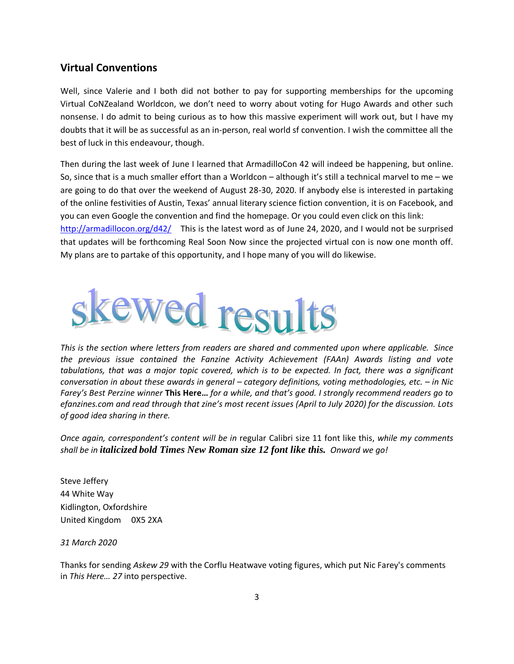# **Virtual Conventions**

Well, since Valerie and I both did not bother to pay for supporting memberships for the upcoming Virtual CoNZealand Worldcon, we don't need to worry about voting for Hugo Awards and other such nonsense. I do admit to being curious as to how this massive experiment will work out, but I have my doubts that it will be as successful as an in-person, real world sf convention. I wish the committee all the best of luck in this endeavour, though.

Then during the last week of June I learned that ArmadilloCon 42 will indeed be happening, but online. So, since that is a much smaller effort than a Worldcon – although it's still a technical marvel to me – we are going to do that over the weekend of August 28-30, 2020. If anybody else is interested in partaking of the online festivities of Austin, Texas' annual literary science fiction convention, it is on Facebook, and you can even Google the convention and find the homepage. Or you could even click on this link:

<http://armadillocon.org/d42/>This is the latest word as of June 24, 2020, and I would not be surprised that updates will be forthcoming Real Soon Now since the projected virtual con is now one month off. My plans are to partake of this opportunity, and I hope many of you will do likewise.



*This is the section where letters from readers are shared and commented upon where applicable. Since the previous issue contained the Fanzine Activity Achievement (FAAn) Awards listing and vote tabulations, that was a major topic covered, which is to be expected. In fact, there was a significant conversation in about these awards in general – category definitions, voting methodologies, etc. – in Nic Farey's Best Perzine winner* **This Here…** *for a while, and that's good. I strongly recommend readers go to efanzines.com and read through that zine's most recent issues (April to July 2020) for the discussion. Lots of good idea sharing in there.*

*Once again, correspondent's content will be in* regular Calibri size 11 font like this, *while my comments shall be in italicized bold Times New Roman size 12 font like this. Onward we go!*

Steve Jeffery 44 White Way Kidlington, Oxfordshire United Kingdom 0X5 2XA

*31 March 2020*

Thanks for sending *Askew 29* with the Corflu Heatwave voting figures, which put Nic Farey's comments in *This Here… 27* into perspective.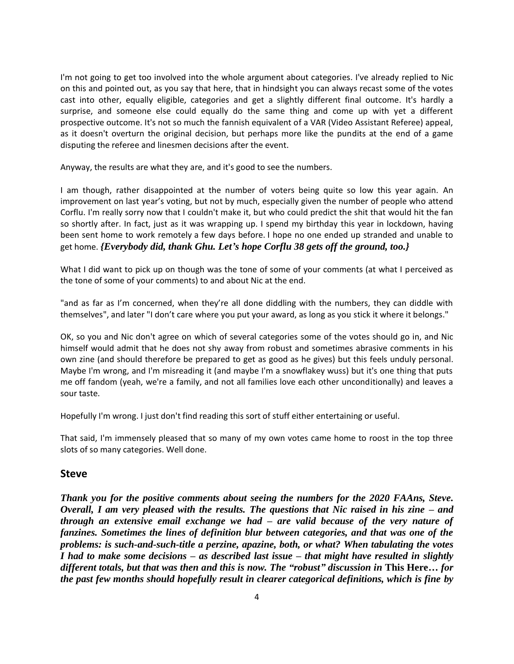I'm not going to get too involved into the whole argument about categories. I've already replied to Nic on this and pointed out, as you say that here, that in hindsight you can always recast some of the votes cast into other, equally eligible, categories and get a slightly different final outcome. It's hardly a surprise, and someone else could equally do the same thing and come up with yet a different prospective outcome. It's not so much the fannish equivalent of a VAR (Video Assistant Referee) appeal, as it doesn't overturn the original decision, but perhaps more like the pundits at the end of a game disputing the referee and linesmen decisions after the event.

Anyway, the results are what they are, and it's good to see the numbers.

I am though, rather disappointed at the number of voters being quite so low this year again. An improvement on last year's voting, but not by much, especially given the number of people who attend Corflu. I'm really sorry now that I couldn't make it, but who could predict the shit that would hit the fan so shortly after. In fact, just as it was wrapping up. I spend my birthday this year in lockdown, having been sent home to work remotely a few days before. I hope no one ended up stranded and unable to get home. *{Everybody did, thank Ghu. Let's hope Corflu 38 gets off the ground, too.}*

What I did want to pick up on though was the tone of some of your comments (at what I perceived as the tone of some of your comments) to and about Nic at the end.

"and as far as I'm concerned, when they're all done diddling with the numbers, they can diddle with themselves", and later "I don't care where you put your award, as long as you stick it where it belongs."

OK, so you and Nic don't agree on which of several categories some of the votes should go in, and Nic himself would admit that he does not shy away from robust and sometimes abrasive comments in his own zine (and should therefore be prepared to get as good as he gives) but this feels unduly personal. Maybe I'm wrong, and I'm misreading it (and maybe I'm a snowflakey wuss) but it's one thing that puts me off fandom (yeah, we're a family, and not all families love each other unconditionally) and leaves a sour taste.

Hopefully I'm wrong. I just don't find reading this sort of stuff either entertaining or useful.

That said, I'm immensely pleased that so many of my own votes came home to roost in the top three slots of so many categories. Well done.

# **Steve**

*Thank you for the positive comments about seeing the numbers for the 2020 FAAns, Steve. Overall, I am very pleased with the results. The questions that Nic raised in his zine – and through an extensive email exchange we had – are valid because of the very nature of fanzines. Sometimes the lines of definition blur between categories, and that was one of the problems: is such-and-such-title a perzine, apazine, both, or what? When tabulating the votes I had to make some decisions – as described last issue – that might have resulted in slightly different totals, but that was then and this is now. The "robust" discussion in* **This Here…** *for the past few months should hopefully result in clearer categorical definitions, which is fine by*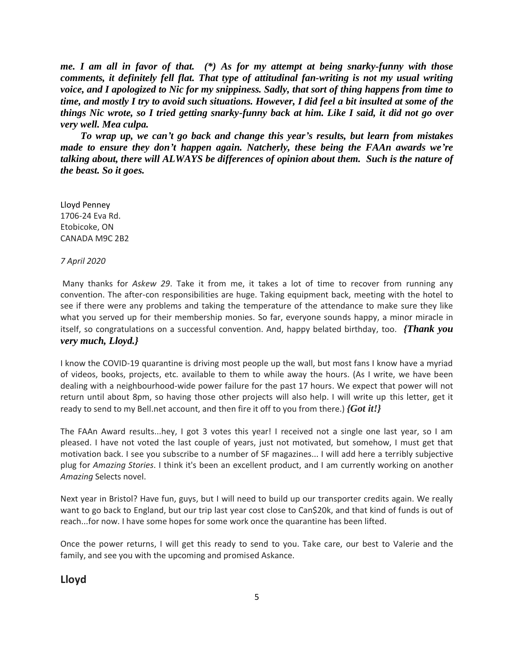*me. I am all in favor of that. (\*) As for my attempt at being snarky-funny with those comments, it definitely fell flat. That type of attitudinal fan-writing is not my usual writing voice, and I apologized to Nic for my snippiness. Sadly, that sort of thing happens from time to time, and mostly I try to avoid such situations. However, I did feel a bit insulted at some of the things Nic wrote, so I tried getting snarky-funny back at him. Like I said, it did not go over very well. Mea culpa.*

 *To wrap up, we can't go back and change this year's results, but learn from mistakes made to ensure they don't happen again. Natcherly, these being the FAAn awards we're talking about, there will ALWAYS be differences of opinion about them. Such is the nature of the beast. So it goes.*

Lloyd Penney 1706-24 Eva Rd. Etobicoke, ON CANADA M9C 2B2

#### *7 April 2020*

Many thanks for *Askew 29*. Take it from me, it takes a lot of time to recover from running any convention. The after-con responsibilities are huge. Taking equipment back, meeting with the hotel to see if there were any problems and taking the temperature of the attendance to make sure they like what you served up for their membership monies. So far, everyone sounds happy, a minor miracle in itself, so congratulations on a successful convention. And, happy belated birthday, too. *{Thank you very much, Lloyd.}*

I know the COVID-19 quarantine is driving most people up the wall, but most fans I know have a myriad of videos, books, projects, etc. available to them to while away the hours. (As I write, we have been dealing with a neighbourhood-wide power failure for the past 17 hours. We expect that power will not return until about 8pm, so having those other projects will also help. I will write up this letter, get it ready to send to my Bell.net account, and then fire it off to you from there.) *{Got it!}*

The FAAn Award results...hey, I got 3 votes this year! I received not a single one last year, so I am pleased. I have not voted the last couple of years, just not motivated, but somehow, I must get that motivation back. I see you subscribe to a number of SF magazines... I will add here a terribly subjective plug for *Amazing Stories*. I think it's been an excellent product, and I am currently working on another *Amazing* Selects novel.

Next year in Bristol? Have fun, guys, but I will need to build up our transporter credits again. We really want to go back to England, but our trip last year cost close to Can\$20k, and that kind of funds is out of reach...for now. I have some hopes for some work once the quarantine has been lifted.

Once the power returns, I will get this ready to send to you. Take care, our best to Valerie and the family, and see you with the upcoming and promised Askance.

## **Lloyd**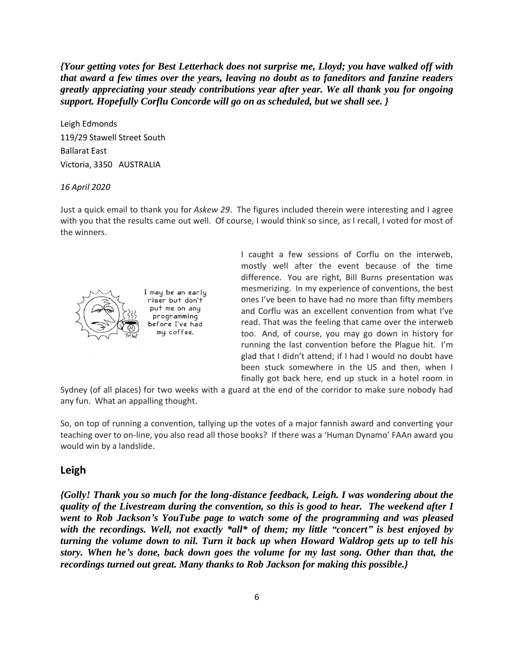*{Your getting votes for Best Letterhack does not surprise me, Lloyd; you have walked off with that award a few times over the years, leaving no doubt as to faneditors and fanzine readers greatly appreciating your steady contributions year after year. We all thank you for ongoing support. Hopefully Corflu Concorde will go on as scheduled, but we shall see. }*

Leigh Edmonds 119/29 Stawell Street South Ballarat East Victoria, 3350 AUSTRALIA

### *16 April 2020*

Just a quick email to thank you for *Askew 29*. The figures included therein were interesting and I agree with you that the results came out well. Of course, I would think so since, as I recall, I voted for most of the winners.



I may be an early riser but don't put me on anu programming before I've had my coffee.

I caught a few sessions of Corflu on the interweb, mostly well after the event because of the time difference. You are right, Bill Burns presentation was mesmerizing. In my experience of conventions, the best ones I've been to have had no more than fifty members and Corflu was an excellent convention from what I've read. That was the feeling that came over the interweb too. And, of course, you may go down in history for running the last convention before the Plague hit. I'm glad that I didn't attend; if I had I would no doubt have been stuck somewhere in the US and then, when I finally got back here, end up stuck in a hotel room in

Sydney (of all places) for two weeks with a guard at the end of the corridor to make sure nobody had any fun. What an appalling thought.

So, on top of running a convention, tallying up the votes of a major fannish award and converting your teaching over to on-line, you also read all those books? If there was a 'Human Dynamo' FAAn award you would win by a landslide.

# **Leigh**

*{Golly! Thank you so much for the long-distance feedback, Leigh. I was wondering about the quality of the Livestream during the convention, so this is good to hear. The weekend after I went to Rob Jackson's YouTube page to watch some of the programming and was pleased with the recordings. Well, not exactly \*all\* of them; my little "concert" is best enjoyed by turning the volume down to nil. Turn it back up when Howard Waldrop gets up to tell his story. When he's done, back down goes the volume for my last song. Other than that, the recordings turned out great. Many thanks to Rob Jackson for making this possible.}*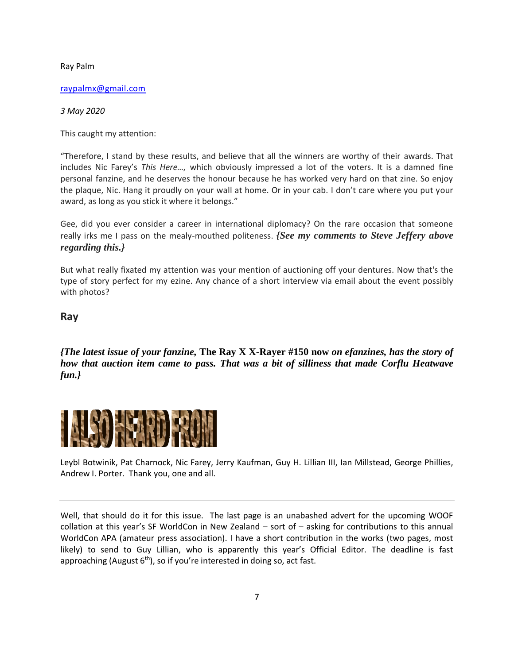Ray Palm

[raypalmx@gmail.com](mailto:raypalmx@gmail.com)

*3 May 2020*

This caught my attention:

"Therefore, I stand by these results, and believe that all the winners are worthy of their awards. That includes Nic Farey's *This Here…,* which obviously impressed a lot of the voters. It is a damned fine personal fanzine, and he deserves the honour because he has worked very hard on that zine. So enjoy the plaque, Nic. Hang it proudly on your wall at home. Or in your cab. I don't care where you put your award, as long as you stick it where it belongs."

Gee, did you ever consider a career in international diplomacy? On the rare occasion that someone really irks me I pass on the mealy-mouthed politeness. *{See my comments to Steve Jeffery above regarding this.}*

But what really fixated my attention was your mention of auctioning off your dentures. Now that's the type of story perfect for my ezine. Any chance of a short interview via email about the event possibly with photos?

**Ray** 

*{The latest issue of your fanzine,* **The Ray X X-Rayer #150 now** *on efanzines, has the story of how that auction item came to pass. That was a bit of silliness that made Corflu Heatwave fun.}*



Leybl Botwinik, Pat Charnock, Nic Farey, Jerry Kaufman, Guy H. Lillian III, Ian Millstead, George Phillies, Andrew I. Porter. Thank you, one and all.

Well, that should do it for this issue. The last page is an unabashed advert for the upcoming WOOF collation at this year's SF WorldCon in New Zealand – sort of – asking for contributions to this annual WorldCon APA (amateur press association). I have a short contribution in the works (two pages, most likely) to send to Guy Lillian, who is apparently this year's Official Editor. The deadline is fast approaching (August  $6<sup>th</sup>$ ), so if you're interested in doing so, act fast.